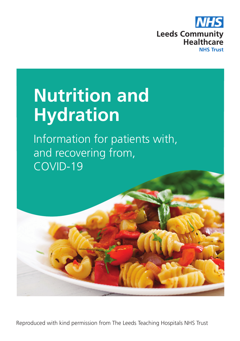

# **Nutrition and Hydration**

Information for patients with, and recovering from, COVID-19

Reproduced with kind permission from The Leeds Teaching Hospitals NHS Trust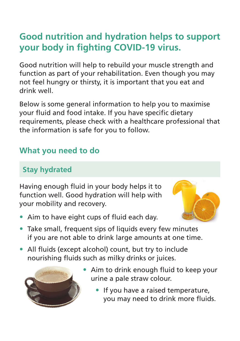## **Good nutrition and hydration helps to support your body in fighting COVID-19 virus.**

Good nutrition will help to rebuild your muscle strength and function as part of your rehabilitation. Even though you may not feel hungry or thirsty, it is important that you eat and drink well.

Below is some general information to help you to maximise your fluid and food intake. If you have specific dietary requirements, please check with a healthcare professional that the information is safe for you to follow.

## **What you need to do**

## **Stay hydrated**

Having enough fluid in your body helps it to function well. Good hydration will help with your mobility and recovery.



- Aim to have eight cups of fluid each day.
- Take small, frequent sips of liquids every few minutes if you are not able to drink large amounts at one time.
- All fluids (except alcohol) count, but try to include nourishing fluids such as milky drinks or juices.



- Aim to drink enough fluid to keep your urine a pale straw colour.
	- If you have a raised temperature, you may need to drink more fluids.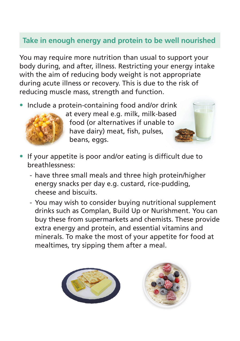### **Take in enough energy and protein to be well nourished**

You may require more nutrition than usual to support your body during, and after, illness. Restricting your energy intake with the aim of reducing body weight is not appropriate during acute illness or recovery. This is due to the risk of reducing muscle mass, strength and function.

• Include a protein-containing food and/or drink



 at every meal e.g. milk, milk-based food (or alternatives if unable to have dairy) meat, fish, pulses, beans, eggs.

- If your appetite is poor and/or eating is difficult due to breathlessness:
	- have three small meals and three high protein/higher energy snacks per day e.g. custard, rice-pudding, cheese and biscuits.
	- You may wish to consider buying nutritional supplement drinks such as Complan, Build Up or Nurishment. You can buy these from supermarkets and chemists. These provide extra energy and protein, and essential vitamins and minerals. To make the most of your appetite for food at mealtimes, try sipping them after a meal.